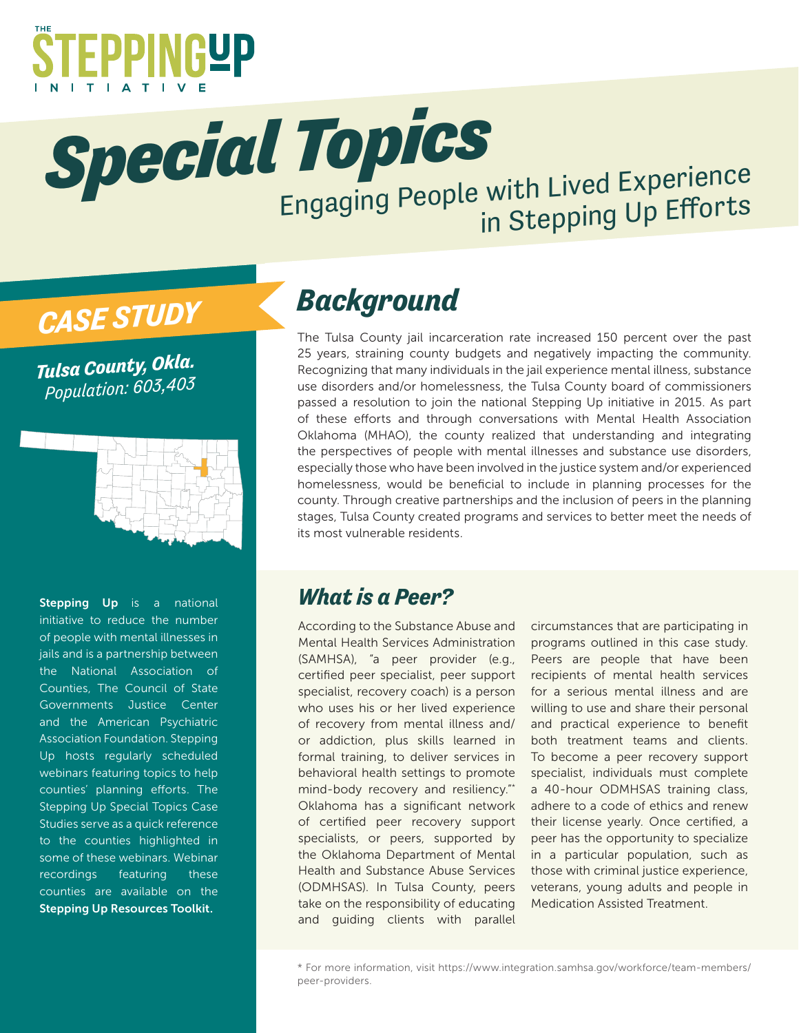

**Special Topics**<br>Engaging People with Lived Experience in Stepping Up Efforts

# *CASE STUDY*

*Tulsa County, Okla. Population: 603,403*



Stepping Up is a national initiative to reduce the number of people with mental illnesses in jails and is a partnership between the National Association of Counties, The Council of State Governments Justice Center and the American Psychiatric Association Foundation. Stepping Up hosts regularly scheduled webinars featuring topics to help counties' planning efforts. The Stepping Up Special Topics Case Studies serve as a quick reference to the counties highlighted in some of these webinars. Webinar recordings featuring these counties are available on the Stepping Up Resources Toolkit.

## *Background*

The Tulsa County jail incarceration rate increased 150 percent over the past 25 years, straining county budgets and negatively impacting the community. Recognizing that many individuals in the jail experience mental illness, substance use disorders and/or homelessness, the Tulsa County board of commissioners passed a resolution to join the national Stepping Up initiative in 2015. As part of these efforts and through conversations with Mental Health Association Oklahoma (MHAO), the county realized that understanding and integrating the perspectives of people with mental illnesses and substance use disorders, especially those who have been involved in the justice system and/or experienced homelessness, would be beneficial to include in planning processes for the county. Through creative partnerships and the inclusion of peers in the planning stages, Tulsa County created programs and services to better meet the needs of its most vulnerable residents.

#### *What is a Peer?*

According to the Substance Abuse and Mental Health Services Administration (SAMHSA), "a peer provider (e.g., certified peer specialist, peer support specialist, recovery coach) is a person who uses his or her lived experience of recovery from mental illness and/ or addiction, plus skills learned in formal training, to deliver services in behavioral health settings to promote mind-body recovery and resiliency."\* Oklahoma has a significant network of certified peer recovery support specialists, or peers, supported by the Oklahoma Department of Mental Health and Substance Abuse Services (ODMHSAS). In Tulsa County, peers take on the responsibility of educating and guiding clients with parallel

circumstances that are participating in programs outlined in this case study. Peers are people that have been recipients of mental health services for a serious mental illness and are willing to use and share their personal and practical experience to benefit both treatment teams and clients. To become a peer recovery support specialist, individuals must complete a 40-hour ODMHSAS training class, adhere to a code of ethics and renew their license yearly. Once certified, a peer has the opportunity to specialize in a particular population, such as those with criminal justice experience, veterans, young adults and people in Medication Assisted Treatment.

<sup>\*</sup> For more information, visit https://www.integration.samhsa.gov/workforce/team-members/ peer-providers.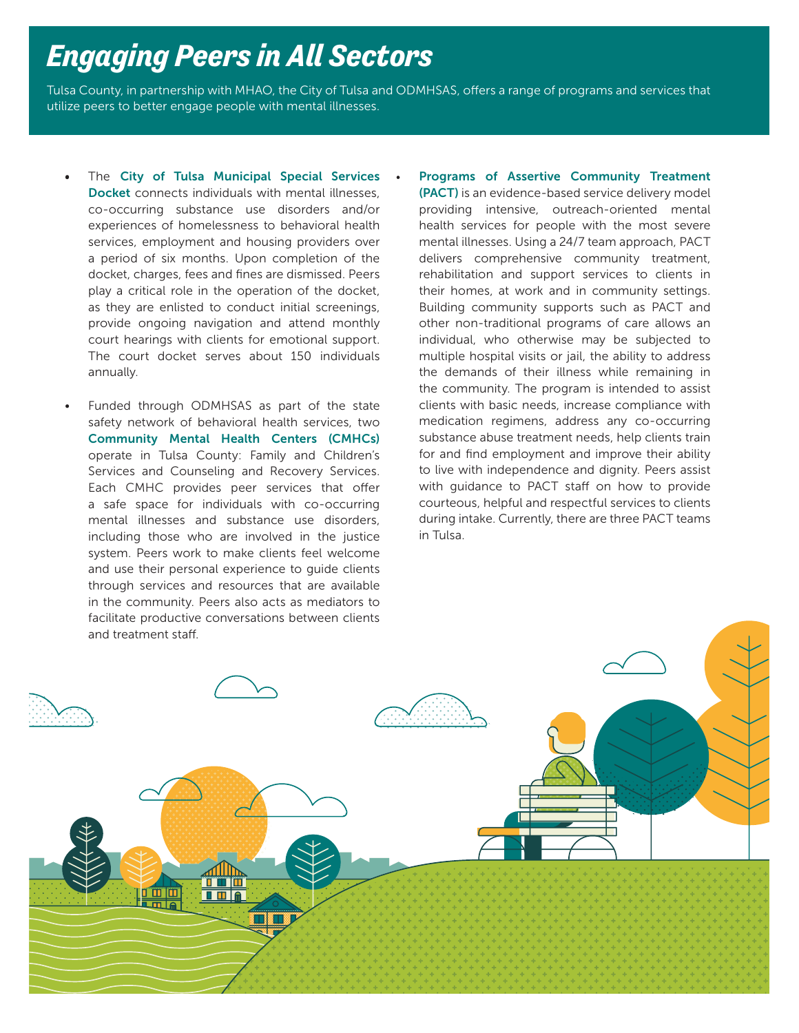#### *Engaging Peers in All Sectors*

Tulsa County, in partnership with MHAO, the City of Tulsa and ODMHSAS, offers a range of programs and services that utilize peers to better engage people with mental illnesses.

- The City of Tulsa Municipal Special Services Docket connects individuals with mental illnesses, co-occurring substance use disorders and/or experiences of homelessness to behavioral health services, employment and housing providers over a period of six months. Upon completion of the docket, charges, fees and fines are dismissed. Peers play a critical role in the operation of the docket, as they are enlisted to conduct initial screenings, provide ongoing navigation and attend monthly court hearings with clients for emotional support. The court docket serves about 150 individuals annually.
- Funded through ODMHSAS as part of the state safety network of behavioral health services, two Community Mental Health Centers (CMHCs) operate in Tulsa County: Family and Children's Services and Counseling and Recovery Services. Each CMHC provides peer services that offer a safe space for individuals with co-occurring mental illnesses and substance use disorders, including those who are involved in the justice system. Peers work to make clients feel welcome and use their personal experience to guide clients through services and resources that are available in the community. Peers also acts as mediators to facilitate productive conversations between clients and treatment staff.
- Programs of Assertive Community Treatment (PACT) is an evidence-based service delivery model providing intensive, outreach-oriented mental health services for people with the most severe mental illnesses. Using a 24/7 team approach, PACT delivers comprehensive community treatment, rehabilitation and support services to clients in their homes, at work and in community settings. Building community supports such as PACT and other non-traditional programs of care allows an individual, who otherwise may be subjected to multiple hospital visits or jail, the ability to address the demands of their illness while remaining in the community. The program is intended to assist clients with basic needs, increase compliance with medication regimens, address any co-occurring substance abuse treatment needs, help clients train for and find employment and improve their ability to live with independence and dignity. Peers assist with guidance to PACT staff on how to provide courteous, helpful and respectful services to clients during intake. Currently, there are three PACT teams in Tulsa.

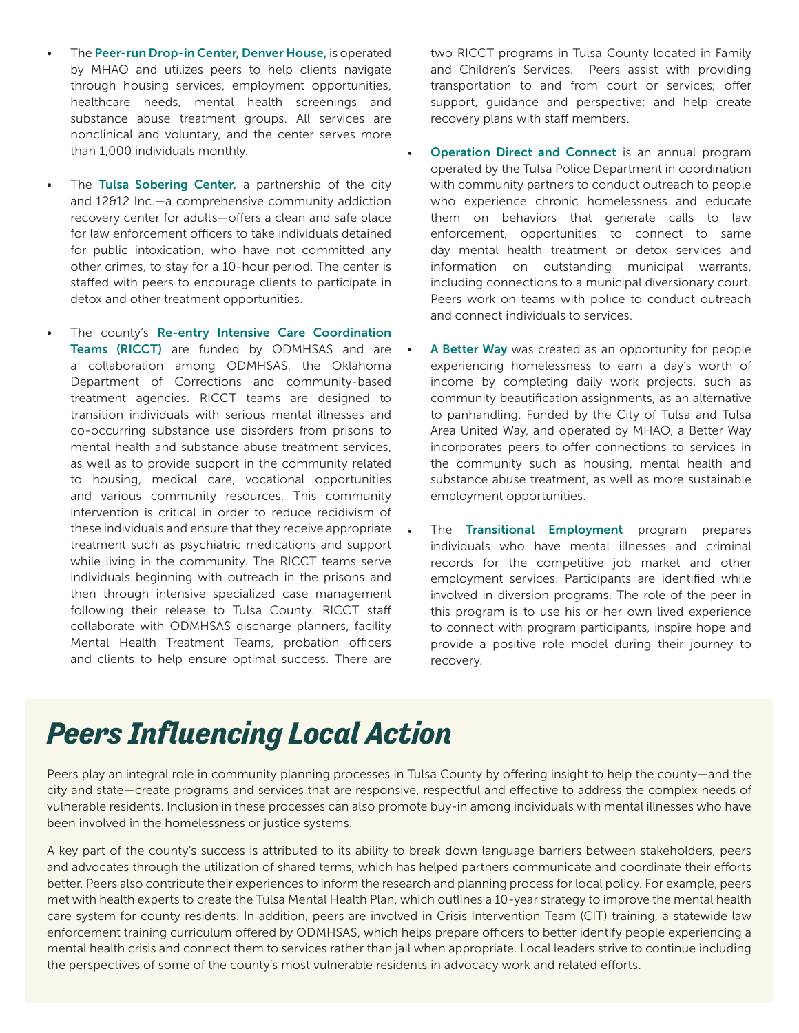- The Peer-run Drop-in Center, Denver House, is operated by MHAO and utilizes peers to help clients navigate through housing services, employment opportunities, healthcare needs, mental health screenings and substance abuse treatment groups. All services are nonclinical and voluntary, and the center serves more than 1,000 individuals monthly.
- The Tulsa Sobering Center, a partnership of the city and 12&12 Inc.—a comprehensive community addiction recovery center for adults—offers a clean and safe place for law enforcement officers to take individuals detained for public intoxication, who have not committed any other crimes, to stay for a 10-hour period. The center is staffed with peers to encourage clients to participate in detox and other treatment opportunities.
	- The county's Re-entry Intensive Care Coordination Teams (RICCT) are funded by ODMHSAS and are a collaboration among ODMHSAS, the Oklahoma Department of Corrections and community-based treatment agencies. RICCT teams are designed to transition individuals with serious mental illnesses and co-occurring substance use disorders from prisons to mental health and substance abuse treatment services, as well as to provide support in the community related to housing, medical care, vocational opportunities and various community resources. This community intervention is critical in order to reduce recidivism of these individuals and ensure that they receive appropriate treatment such as psychiatric medications and support while living in the community. The RICCT teams serve individuals beginning with outreach in the prisons and then through intensive specialized case management following their release to Tulsa County. RICCT staff collaborate with ODMHSAS discharge planners, facility Mental Health Treatment Teams, probation officers and clients to help ensure optimal success. There are

two RICCT programs in Tulsa County located in Family and Children's Services. Peers assist with providing transportation to and from court or services; offer support, guidance and perspective; and help create recovery plans with staff members.

- **Operation Direct and Connect** is an annual program operated by the Tulsa Police Department in coordination with community partners to conduct outreach to people who experience chronic homelessness and educate them on behaviors that generate calls to law enforcement, opportunities to connect to same day mental health treatment or detox services and information on outstanding municipal warrants, including connections to a municipal diversionary court. Peers work on teams with police to conduct outreach and connect individuals to services.
- A Better Way was created as an opportunity for people experiencing homelessness to earn a day's worth of income by completing daily work projects, such as community beautification assignments, as an alternative to panhandling. Funded by the City of Tulsa and Tulsa Area United Way, and operated by MHAO, a Better Way incorporates peers to offer connections to services in the community such as housing, mental health and substance abuse treatment, as well as more sustainable employment opportunities.
- The Transitional Employment program prepares individuals who have mental illnesses and criminal records for the competitive job market and other employment services. Participants are identified while involved in diversion programs. The role of the peer in this program is to use his or her own lived experience to connect with program participants, inspire hope and provide a positive role model during their journey to recovery.

## *Peers Influencing Local Action*

Peers play an integral role in community planning processes in Tulsa County by offering insight to help the county—and the city and state—create programs and services that are responsive, respectful and effective to address the complex needs of vulnerable residents. Inclusion in these processes can also promote buy-in among individuals with mental illnesses who have been involved in the homelessness or justice systems.

A key part of the county's success is attributed to its ability to break down language barriers between stakeholders, peers and advocates through the utilization of shared terms, which has helped partners communicate and coordinate their efforts better. Peers also contribute their experiences to inform the research and planning process for local policy. For example, peers met with health experts to create the Tulsa Mental Health Plan, which outlines a 10-year strategy to improve the mental health care system for county residents. In addition, peers are involved in Crisis Intervention Team (CIT) training, a statewide law enforcement training curriculum offered by ODMHSAS, which helps prepare officers to better identify people experiencing a mental health crisis and connect them to services rather than jail when appropriate. Local leaders strive to continue including the perspectives of some of the county's most vulnerable residents in advocacy work and related efforts.